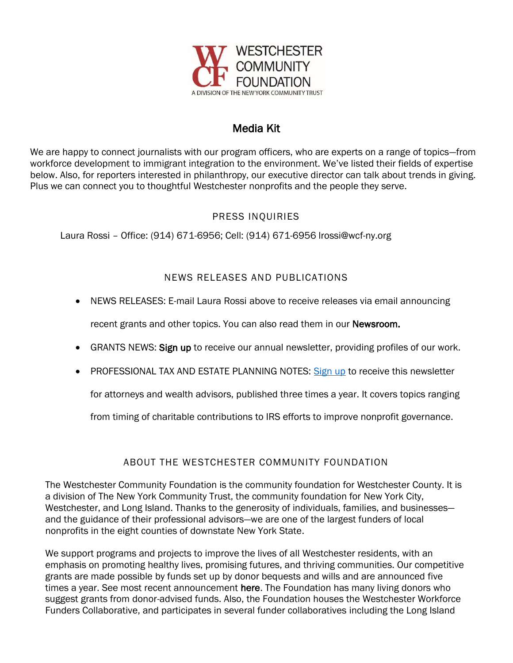

# Media Kit

We are happy to connect journalists with our program officers, who are experts on a range of topics—from workforce development to immigrant integration to the environment. We've listed their fields of expertise below. Also, for reporters interested in philanthropy, our executive director can talk about trends in giving. Plus we can connect you to thoughtful Westchester nonprofits and the people they serve.

## PRESS INQUIRIES

Laura Rossi – Office: (914) 671-6956; Cell: (914) 671-6956 lrossi@wcf-ny.org

## NEWS RELEASES AND PUBLICATIONS

• NEWS RELEASES: E-mail Laura Rossi above to receive releases via email announcing

recent grants and other topics. You can also read them in our Newsroom.

- GRANTS NEWS: Sign up to receive our annual newsletter, providing profiles of our work.
- PROFESSIONAL TAX AND ESTATE PLANNING NOTES: [Sign up](https://visitor.r20.constantcontact.com/manage/optin?v=001WVdpo956d6lQt-Q5u5JDIqJ8eBaPRYsx2dXXIxljaPew2D5pXXr9ad2w6lwivBqtsWvHgkR4PVoBiNDdWh7Uw3N1A1wXA-DdxFcW-aX4RhknSppELSxzzA%3D%3D) to receive this newsletter

for attorneys and wealth advisors, published three times a year. It covers topics ranging

from timing of charitable contributions to IRS efforts to improve nonprofit governance.

## ABOUT THE WESTCHESTER COMMUNITY FOUNDATION

The Westchester Community Foundation is the community foundation for Westchester County. It is a division of The New York Community Trust, the community foundation for New York City, Westchester, and Long Island. Thanks to the generosity of individuals, families, and businessesand the guidance of their professional advisors—we are one of the largest funders of local nonprofits in the eight counties of downstate New York State.

We support programs and projects to improve the lives of all Westchester residents, with an emphasis on promoting healthy lives, promising futures, and thriving communities. Our competitive grants are made possible by funds set up by donor bequests and wills and are announced five times a year. See most recent announcement here. The Foundation has many living donors who suggest grants from donor-advised funds. Also, the Foundation houses the Westchester Workforce Funders Collaborative, and participates in several funder collaboratives including the Long Island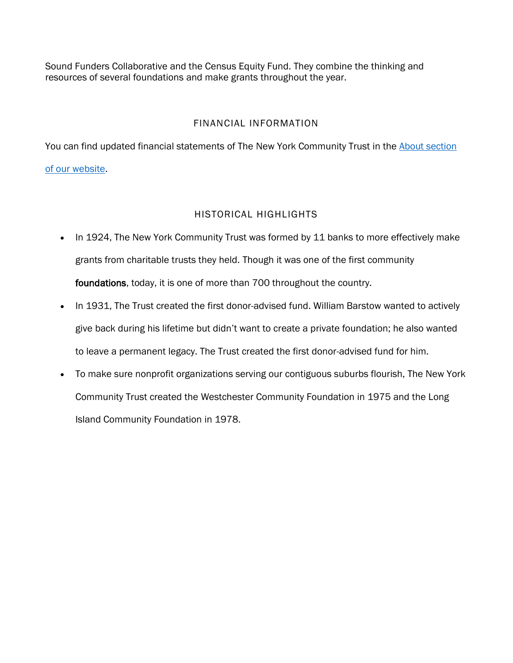Sound Funders Collaborative and the Census Equity Fund. They combine the thinking and resources of several foundations and make grants throughout the year.

### FINANCIAL INFORMATION

You can find updated financial statements of The New York Community Trust in the About section [of our website.](https://www.nycommunitytrust.org/about/financial-information/)

### HISTORICAL HIGHLIGHTS

- In 1924, The New York Community Trust was formed by 11 banks to more effectively make grants from charitable trusts they held. Though it was one of the first community foundations, today, it is one of more than 700 throughout the country.
- In 1931, The Trust created the first donor-advised fund. William Barstow wanted to actively give back during his lifetime but didn't want to create a private foundation; he also wanted to leave a permanent legacy. The Trust created the first donor-advised fund for him.
- To make sure nonprofit organizations serving our contiguous suburbs flourish, The New York Community Trust created the Westchester Community Foundation in 1975 and the Long Island Community Foundation in 1978.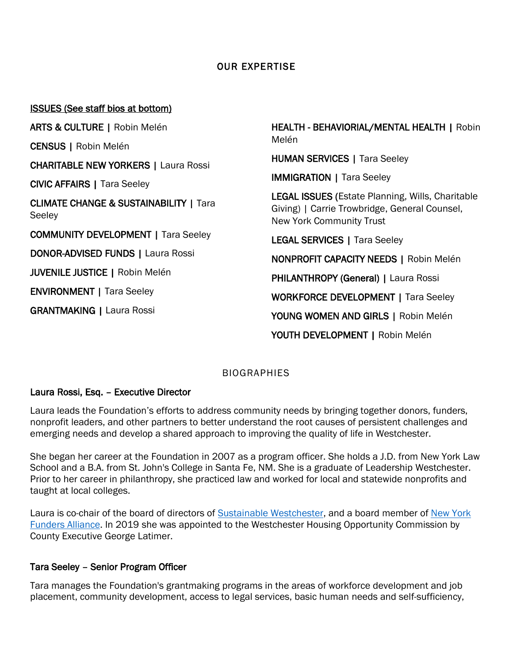### OUR EXPERTISE

| <b>ISSUES (See staff bios at bottom)</b>                    |                                                                                                                                             |
|-------------------------------------------------------------|---------------------------------------------------------------------------------------------------------------------------------------------|
| <b>ARTS &amp; CULTURE   Robin Melén</b>                     | HEALTH - BEHAVIORIAL/MENTAL HEALTH   Robin<br>Melén<br><b>HUMAN SERVICES</b>   Tara Seeley<br><b>IMMIGRATION</b>   Tara Seeley              |
| <b>CENSUS   Robin Melén</b>                                 |                                                                                                                                             |
| <b>CHARITABLE NEW YORKERS   Laura Rossi</b>                 |                                                                                                                                             |
| <b>CIVIC AFFAIRS</b>   Tara Seeley                          |                                                                                                                                             |
| <b>CLIMATE CHANGE &amp; SUSTAINABILITY   Tara</b><br>Seeley | <b>LEGAL ISSUES (Estate Planning, Wills, Charitable</b><br>Giving)   Carrie Trowbridge, General Counsel,<br><b>New York Community Trust</b> |
| <b>COMMUNITY DEVELOPMENT   Tara Seeley</b>                  | <b>LEGAL SERVICES</b>   Tara Seeley<br><b>NONPROFIT CAPACITY NEEDS   Robin Melén</b>                                                        |
| <b>DONOR-ADVISED FUNDS   Laura Rossi</b>                    |                                                                                                                                             |
| <b>JUVENILE JUSTICE   Robin Melén</b>                       | <b>PHILANTHROPY (General)   Laura Rossi</b>                                                                                                 |
| <b>ENVIRONMENT   Tara Seeley</b>                            | <b>WORKFORCE DEVELOPMENT   Tara Seeley</b>                                                                                                  |
| <b>GRANTMAKING   Laura Rossi</b>                            | YOUNG WOMEN AND GIRLS   Robin Melén                                                                                                         |
|                                                             | YOUTH DEVELOPMENT   Robin Melén                                                                                                             |

#### BIOGRAPHIES

#### Laura Rossi, Esq. – Executive Director

Laura leads the Foundation's efforts to address community needs by bringing together donors, funders, nonprofit leaders, and other partners to better understand the root causes of persistent challenges and emerging needs and develop a shared approach to improving the quality of life in Westchester.

She began her career at the Foundation in 2007 as a program officer. She holds a J.D. from New York Law School and a B.A. from St. John's College in Santa Fe, NM. She is a graduate of Leadership Westchester. Prior to her career in philanthropy, she practiced law and worked for local and statewide nonprofits and taught at local colleges.

Laura is co-chair of the board of directors of Sustainable [Westchester,](https://sustainablewestchester.org/) and a board member of New [York](https://www.nyfunders.org/) Funders [Alliance.](https://www.nyfunders.org/) In 2019 she was appointed to the Westchester Housing Opportunity Commission by County Executive George Latimer.

#### Tara Seeley – Senior Program Officer

Tara manages the Foundation's grantmaking programs in the areas of workforce development and job placement, community development, access to legal services, basic human needs and self-sufficiency,